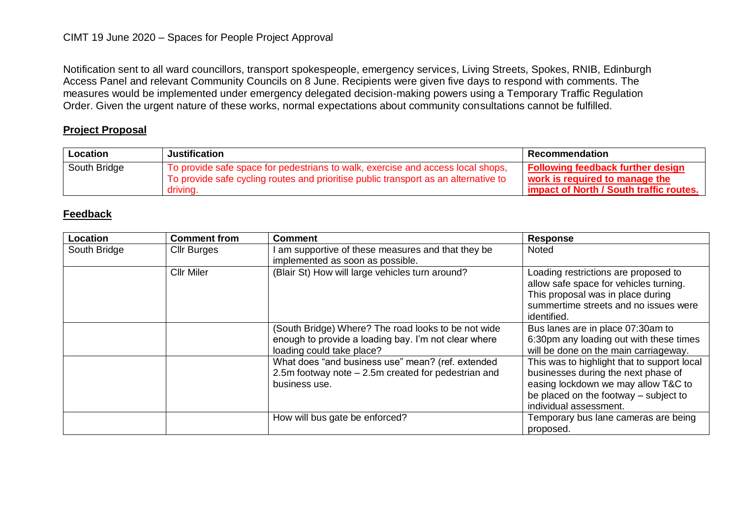Notification sent to all ward councillors, transport spokespeople, emergency services, Living Streets, Spokes, RNIB, Edinburgh Access Panel and relevant Community Councils on 8 June. Recipients were given five days to respond with comments. The measures would be implemented under emergency delegated decision-making powers using a Temporary Traffic Regulation Order. Given the urgent nature of these works, normal expectations about community consultations cannot be fulfilled.

### **Project Proposal**

| Location     | Justification                                                                                                                                                                      | l Recommendation                                                                                                      |
|--------------|------------------------------------------------------------------------------------------------------------------------------------------------------------------------------------|-----------------------------------------------------------------------------------------------------------------------|
| South Bridge | To provide safe space for pedestrians to walk, exercise and access local shops,<br>To provide safe cycling routes and prioritise public transport as an alternative to<br>driving. | <b>Following feedback further design</b><br>work is required to manage the<br>impact of North / South traffic routes. |

| Location     | <b>Comment from</b> | <b>Comment</b>                                                                                                                           | <b>Response</b>                                                                                                                                                                              |
|--------------|---------------------|------------------------------------------------------------------------------------------------------------------------------------------|----------------------------------------------------------------------------------------------------------------------------------------------------------------------------------------------|
| South Bridge | <b>Cllr Burges</b>  | am supportive of these measures and that they be<br>implemented as soon as possible.                                                     | <b>Noted</b>                                                                                                                                                                                 |
|              | <b>Cllr Miler</b>   | (Blair St) How will large vehicles turn around?                                                                                          | Loading restrictions are proposed to<br>allow safe space for vehicles turning.<br>This proposal was in place during<br>summertime streets and no issues were<br>identified.                  |
|              |                     | (South Bridge) Where? The road looks to be not wide<br>enough to provide a loading bay. I'm not clear where<br>loading could take place? | Bus lanes are in place 07:30am to<br>6:30pm any loading out with these times<br>will be done on the main carriageway.                                                                        |
|              |                     | What does "and business use" mean? (ref. extended<br>2.5m footway note $-2.5$ m created for pedestrian and<br>business use.              | This was to highlight that to support local<br>businesses during the next phase of<br>easing lockdown we may allow T&C to<br>be placed on the footway – subject to<br>individual assessment. |
|              |                     | How will bus gate be enforced?                                                                                                           | Temporary bus lane cameras are being<br>proposed.                                                                                                                                            |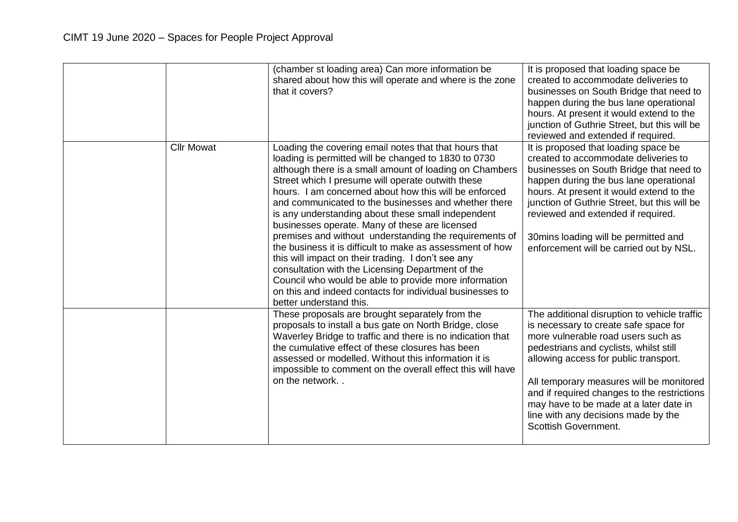|                   | (chamber st loading area) Can more information be<br>shared about how this will operate and where is the zone<br>that it covers?                                                                                                                                                                                                                                                                                                                                                                                                                                                                                                                                                                                                                                                                                                         | It is proposed that loading space be<br>created to accommodate deliveries to<br>businesses on South Bridge that need to<br>happen during the bus lane operational<br>hours. At present it would extend to the<br>junction of Guthrie Street, but this will be<br>reviewed and extended if required.                                                                                                                       |
|-------------------|------------------------------------------------------------------------------------------------------------------------------------------------------------------------------------------------------------------------------------------------------------------------------------------------------------------------------------------------------------------------------------------------------------------------------------------------------------------------------------------------------------------------------------------------------------------------------------------------------------------------------------------------------------------------------------------------------------------------------------------------------------------------------------------------------------------------------------------|---------------------------------------------------------------------------------------------------------------------------------------------------------------------------------------------------------------------------------------------------------------------------------------------------------------------------------------------------------------------------------------------------------------------------|
| <b>Cllr Mowat</b> | Loading the covering email notes that that hours that<br>loading is permitted will be changed to 1830 to 0730<br>although there is a small amount of loading on Chambers<br>Street which I presume will operate outwith these<br>hours. I am concerned about how this will be enforced<br>and communicated to the businesses and whether there<br>is any understanding about these small independent<br>businesses operate. Many of these are licensed<br>premises and without understanding the requirements of<br>the business it is difficult to make as assessment of how<br>this will impact on their trading. I don't see any<br>consultation with the Licensing Department of the<br>Council who would be able to provide more information<br>on this and indeed contacts for individual businesses to<br>better understand this. | It is proposed that loading space be<br>created to accommodate deliveries to<br>businesses on South Bridge that need to<br>happen during the bus lane operational<br>hours. At present it would extend to the<br>junction of Guthrie Street, but this will be<br>reviewed and extended if required.<br>30mins loading will be permitted and<br>enforcement will be carried out by NSL.                                    |
|                   | These proposals are brought separately from the<br>proposals to install a bus gate on North Bridge, close<br>Waverley Bridge to traffic and there is no indication that<br>the cumulative effect of these closures has been<br>assessed or modelled. Without this information it is<br>impossible to comment on the overall effect this will have<br>on the network                                                                                                                                                                                                                                                                                                                                                                                                                                                                      | The additional disruption to vehicle traffic<br>is necessary to create safe space for<br>more vulnerable road users such as<br>pedestrians and cyclists, whilst still<br>allowing access for public transport.<br>All temporary measures will be monitored<br>and if required changes to the restrictions<br>may have to be made at a later date in<br>line with any decisions made by the<br><b>Scottish Government.</b> |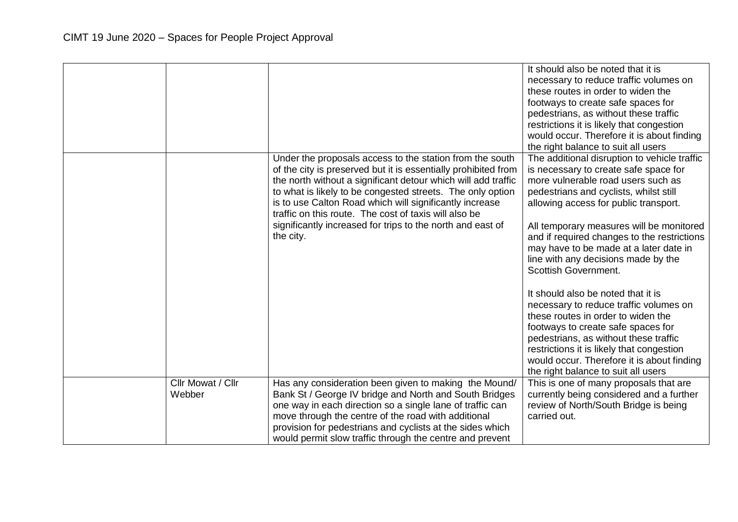|                             |                                                                                                                                                                                                                                                                                                                                                                                                                                                          | It should also be noted that it is<br>necessary to reduce traffic volumes on<br>these routes in order to widen the<br>footways to create safe spaces for<br>pedestrians, as without these traffic<br>restrictions it is likely that congestion<br>would occur. Therefore it is about finding<br>the right balance to suit all users                                                                                                                                                                                                                                                                                                                                                                                                                       |
|-----------------------------|----------------------------------------------------------------------------------------------------------------------------------------------------------------------------------------------------------------------------------------------------------------------------------------------------------------------------------------------------------------------------------------------------------------------------------------------------------|-----------------------------------------------------------------------------------------------------------------------------------------------------------------------------------------------------------------------------------------------------------------------------------------------------------------------------------------------------------------------------------------------------------------------------------------------------------------------------------------------------------------------------------------------------------------------------------------------------------------------------------------------------------------------------------------------------------------------------------------------------------|
|                             | Under the proposals access to the station from the south<br>of the city is preserved but it is essentially prohibited from<br>the north without a significant detour which will add traffic<br>to what is likely to be congested streets. The only option<br>is to use Calton Road which will significantly increase<br>traffic on this route. The cost of taxis will also be<br>significantly increased for trips to the north and east of<br>the city. | The additional disruption to vehicle traffic<br>is necessary to create safe space for<br>more vulnerable road users such as<br>pedestrians and cyclists, whilst still<br>allowing access for public transport.<br>All temporary measures will be monitored<br>and if required changes to the restrictions<br>may have to be made at a later date in<br>line with any decisions made by the<br>Scottish Government.<br>It should also be noted that it is<br>necessary to reduce traffic volumes on<br>these routes in order to widen the<br>footways to create safe spaces for<br>pedestrians, as without these traffic<br>restrictions it is likely that congestion<br>would occur. Therefore it is about finding<br>the right balance to suit all users |
| Cllr Mowat / Cllr<br>Webber | Has any consideration been given to making the Mound/<br>Bank St / George IV bridge and North and South Bridges<br>one way in each direction so a single lane of traffic can<br>move through the centre of the road with additional<br>provision for pedestrians and cyclists at the sides which<br>would permit slow traffic through the centre and prevent                                                                                             | This is one of many proposals that are<br>currently being considered and a further<br>review of North/South Bridge is being<br>carried out.                                                                                                                                                                                                                                                                                                                                                                                                                                                                                                                                                                                                               |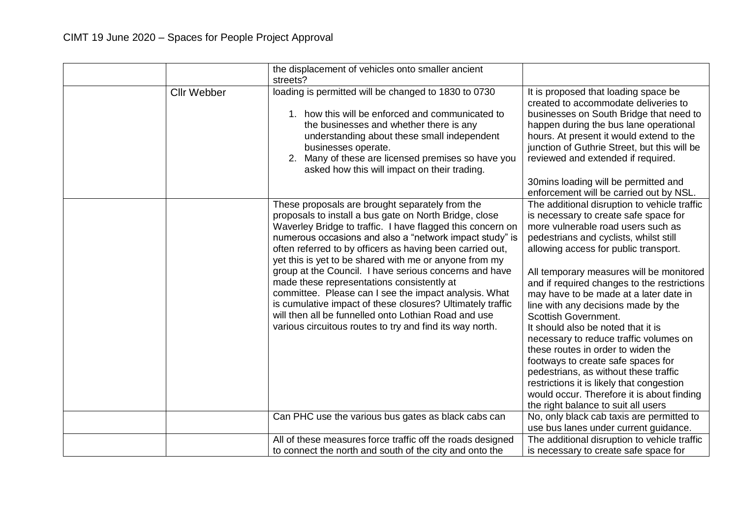|                    | the displacement of vehicles onto smaller ancient<br>streets?                                                                                                                                                                                                                                                                                                                                                                                                                                                                                                                                                                                                                                                |                                                                                                                                                                                                                                                                                                                                                                                                                                                                                                                                                                                                                                                                                                                                                           |
|--------------------|--------------------------------------------------------------------------------------------------------------------------------------------------------------------------------------------------------------------------------------------------------------------------------------------------------------------------------------------------------------------------------------------------------------------------------------------------------------------------------------------------------------------------------------------------------------------------------------------------------------------------------------------------------------------------------------------------------------|-----------------------------------------------------------------------------------------------------------------------------------------------------------------------------------------------------------------------------------------------------------------------------------------------------------------------------------------------------------------------------------------------------------------------------------------------------------------------------------------------------------------------------------------------------------------------------------------------------------------------------------------------------------------------------------------------------------------------------------------------------------|
| <b>Cllr Webber</b> | loading is permitted will be changed to 1830 to 0730<br>1. how this will be enforced and communicated to<br>the businesses and whether there is any<br>understanding about these small independent<br>businesses operate.<br>2. Many of these are licensed premises so have you<br>asked how this will impact on their trading.                                                                                                                                                                                                                                                                                                                                                                              | It is proposed that loading space be<br>created to accommodate deliveries to<br>businesses on South Bridge that need to<br>happen during the bus lane operational<br>hours. At present it would extend to the<br>junction of Guthrie Street, but this will be<br>reviewed and extended if required.<br>30mins loading will be permitted and<br>enforcement will be carried out by NSL.                                                                                                                                                                                                                                                                                                                                                                    |
|                    | These proposals are brought separately from the<br>proposals to install a bus gate on North Bridge, close<br>Waverley Bridge to traffic. I have flagged this concern on<br>numerous occasions and also a "network impact study" is<br>often referred to by officers as having been carried out,<br>yet this is yet to be shared with me or anyone from my<br>group at the Council. I have serious concerns and have<br>made these representations consistently at<br>committee. Please can I see the impact analysis. What<br>is cumulative impact of these closures? Ultimately traffic<br>will then all be funnelled onto Lothian Road and use<br>various circuitous routes to try and find its way north. | The additional disruption to vehicle traffic<br>is necessary to create safe space for<br>more vulnerable road users such as<br>pedestrians and cyclists, whilst still<br>allowing access for public transport.<br>All temporary measures will be monitored<br>and if required changes to the restrictions<br>may have to be made at a later date in<br>line with any decisions made by the<br>Scottish Government.<br>It should also be noted that it is<br>necessary to reduce traffic volumes on<br>these routes in order to widen the<br>footways to create safe spaces for<br>pedestrians, as without these traffic<br>restrictions it is likely that congestion<br>would occur. Therefore it is about finding<br>the right balance to suit all users |
|                    | Can PHC use the various bus gates as black cabs can                                                                                                                                                                                                                                                                                                                                                                                                                                                                                                                                                                                                                                                          | No, only black cab taxis are permitted to<br>use bus lanes under current guidance.                                                                                                                                                                                                                                                                                                                                                                                                                                                                                                                                                                                                                                                                        |
|                    | All of these measures force traffic off the roads designed<br>to connect the north and south of the city and onto the                                                                                                                                                                                                                                                                                                                                                                                                                                                                                                                                                                                        | The additional disruption to vehicle traffic<br>is necessary to create safe space for                                                                                                                                                                                                                                                                                                                                                                                                                                                                                                                                                                                                                                                                     |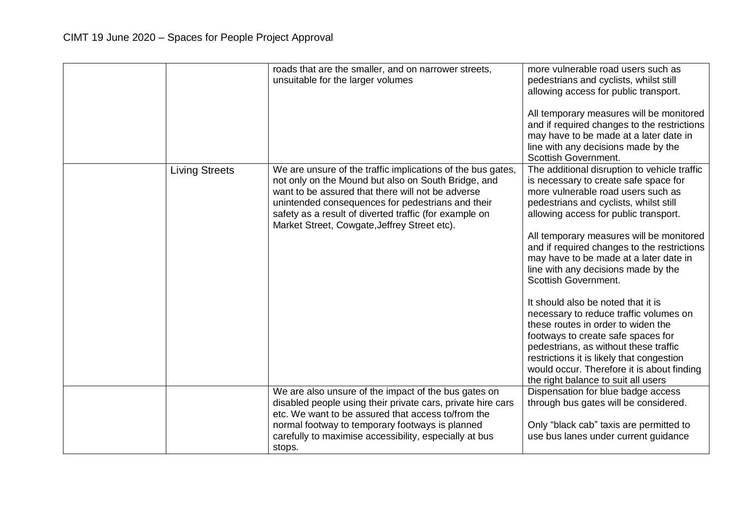|                       | roads that are the smaller, and on narrower streets,<br>unsuitable for the larger volumes                                                                                                                                                                                                                                              | more vulnerable road users such as<br>pedestrians and cyclists, whilst still<br>allowing access for public transport.<br>All temporary measures will be monitored<br>and if required changes to the restrictions<br>may have to be made at a later date in<br>line with any decisions made by the<br><b>Scottish Government.</b>                                                                                                                                                                                                                                                                                                                                                                                                                                 |
|-----------------------|----------------------------------------------------------------------------------------------------------------------------------------------------------------------------------------------------------------------------------------------------------------------------------------------------------------------------------------|------------------------------------------------------------------------------------------------------------------------------------------------------------------------------------------------------------------------------------------------------------------------------------------------------------------------------------------------------------------------------------------------------------------------------------------------------------------------------------------------------------------------------------------------------------------------------------------------------------------------------------------------------------------------------------------------------------------------------------------------------------------|
| <b>Living Streets</b> | We are unsure of the traffic implications of the bus gates,<br>not only on the Mound but also on South Bridge, and<br>want to be assured that there will not be adverse<br>unintended consequences for pedestrians and their<br>safety as a result of diverted traffic (for example on<br>Market Street, Cowgate, Jeffrey Street etc). | The additional disruption to vehicle traffic<br>is necessary to create safe space for<br>more vulnerable road users such as<br>pedestrians and cyclists, whilst still<br>allowing access for public transport.<br>All temporary measures will be monitored<br>and if required changes to the restrictions<br>may have to be made at a later date in<br>line with any decisions made by the<br><b>Scottish Government.</b><br>It should also be noted that it is<br>necessary to reduce traffic volumes on<br>these routes in order to widen the<br>footways to create safe spaces for<br>pedestrians, as without these traffic<br>restrictions it is likely that congestion<br>would occur. Therefore it is about finding<br>the right balance to suit all users |
|                       | We are also unsure of the impact of the bus gates on<br>disabled people using their private cars, private hire cars<br>etc. We want to be assured that access to/from the<br>normal footway to temporary footways is planned<br>carefully to maximise accessibility, especially at bus<br>stops.                                       | Dispensation for blue badge access<br>through bus gates will be considered.<br>Only "black cab" taxis are permitted to<br>use bus lanes under current guidance                                                                                                                                                                                                                                                                                                                                                                                                                                                                                                                                                                                                   |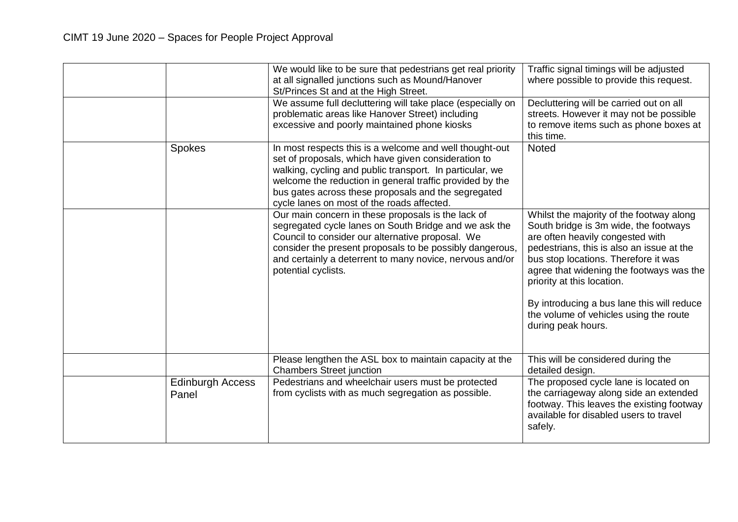|                                  | We would like to be sure that pedestrians get real priority<br>at all signalled junctions such as Mound/Hanover<br>St/Princes St and at the High Street.<br>We assume full decluttering will take place (especially on                                                                                                                      | Traffic signal timings will be adjusted<br>where possible to provide this request.<br>Decluttering will be carried out on all                                                                                                                                                                                                                                                                      |
|----------------------------------|---------------------------------------------------------------------------------------------------------------------------------------------------------------------------------------------------------------------------------------------------------------------------------------------------------------------------------------------|----------------------------------------------------------------------------------------------------------------------------------------------------------------------------------------------------------------------------------------------------------------------------------------------------------------------------------------------------------------------------------------------------|
|                                  | problematic areas like Hanover Street) including<br>excessive and poorly maintained phone kiosks                                                                                                                                                                                                                                            | streets. However it may not be possible<br>to remove items such as phone boxes at<br>this time.                                                                                                                                                                                                                                                                                                    |
| Spokes                           | In most respects this is a welcome and well thought-out<br>set of proposals, which have given consideration to<br>walking, cycling and public transport. In particular, we<br>welcome the reduction in general traffic provided by the<br>bus gates across these proposals and the segregated<br>cycle lanes on most of the roads affected. | <b>Noted</b>                                                                                                                                                                                                                                                                                                                                                                                       |
|                                  | Our main concern in these proposals is the lack of<br>segregated cycle lanes on South Bridge and we ask the<br>Council to consider our alternative proposal. We<br>consider the present proposals to be possibly dangerous,<br>and certainly a deterrent to many novice, nervous and/or<br>potential cyclists.                              | Whilst the majority of the footway along<br>South bridge is 3m wide, the footways<br>are often heavily congested with<br>pedestrians, this is also an issue at the<br>bus stop locations. Therefore it was<br>agree that widening the footways was the<br>priority at this location.<br>By introducing a bus lane this will reduce<br>the volume of vehicles using the route<br>during peak hours. |
|                                  | Please lengthen the ASL box to maintain capacity at the<br><b>Chambers Street junction</b>                                                                                                                                                                                                                                                  | This will be considered during the<br>detailed design.                                                                                                                                                                                                                                                                                                                                             |
| <b>Edinburgh Access</b><br>Panel | Pedestrians and wheelchair users must be protected<br>from cyclists with as much segregation as possible.                                                                                                                                                                                                                                   | The proposed cycle lane is located on<br>the carriageway along side an extended<br>footway. This leaves the existing footway<br>available for disabled users to travel<br>safely.                                                                                                                                                                                                                  |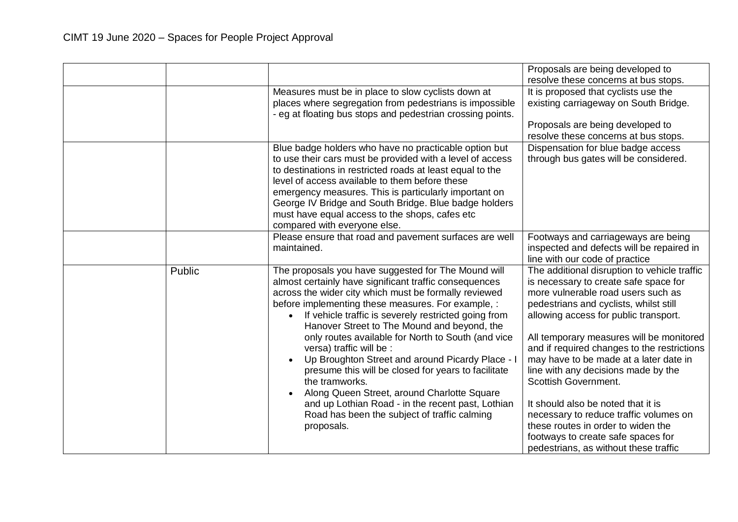|        |                                                                                                                                                                                                                                                                                                                                                                                                                                                                                                                                                                                                                                                                                                                                   | Proposals are being developed to<br>resolve these concerns at bus stops.                                                                                                                                                                                                                                                                                                                                                                                                                                                                                                                                                |
|--------|-----------------------------------------------------------------------------------------------------------------------------------------------------------------------------------------------------------------------------------------------------------------------------------------------------------------------------------------------------------------------------------------------------------------------------------------------------------------------------------------------------------------------------------------------------------------------------------------------------------------------------------------------------------------------------------------------------------------------------------|-------------------------------------------------------------------------------------------------------------------------------------------------------------------------------------------------------------------------------------------------------------------------------------------------------------------------------------------------------------------------------------------------------------------------------------------------------------------------------------------------------------------------------------------------------------------------------------------------------------------------|
|        | Measures must be in place to slow cyclists down at<br>places where segregation from pedestrians is impossible<br>- eg at floating bus stops and pedestrian crossing points.                                                                                                                                                                                                                                                                                                                                                                                                                                                                                                                                                       | It is proposed that cyclists use the<br>existing carriageway on South Bridge.                                                                                                                                                                                                                                                                                                                                                                                                                                                                                                                                           |
|        |                                                                                                                                                                                                                                                                                                                                                                                                                                                                                                                                                                                                                                                                                                                                   | Proposals are being developed to<br>resolve these concerns at bus stops.                                                                                                                                                                                                                                                                                                                                                                                                                                                                                                                                                |
|        | Blue badge holders who have no practicable option but<br>to use their cars must be provided with a level of access<br>to destinations in restricted roads at least equal to the<br>level of access available to them before these<br>emergency measures. This is particularly important on<br>George IV Bridge and South Bridge. Blue badge holders<br>must have equal access to the shops, cafes etc<br>compared with everyone else.                                                                                                                                                                                                                                                                                             | Dispensation for blue badge access<br>through bus gates will be considered.                                                                                                                                                                                                                                                                                                                                                                                                                                                                                                                                             |
|        | Please ensure that road and pavement surfaces are well<br>maintained.                                                                                                                                                                                                                                                                                                                                                                                                                                                                                                                                                                                                                                                             | Footways and carriageways are being<br>inspected and defects will be repaired in<br>line with our code of practice                                                                                                                                                                                                                                                                                                                                                                                                                                                                                                      |
| Public | The proposals you have suggested for The Mound will<br>almost certainly have significant traffic consequences<br>across the wider city which must be formally reviewed<br>before implementing these measures. For example, :<br>If vehicle traffic is severely restricted going from<br>$\bullet$<br>Hanover Street to The Mound and beyond, the<br>only routes available for North to South (and vice<br>versa) traffic will be :<br>Up Broughton Street and around Picardy Place - I<br>presume this will be closed for years to facilitate<br>the tramworks.<br>Along Queen Street, around Charlotte Square<br>and up Lothian Road - in the recent past, Lothian<br>Road has been the subject of traffic calming<br>proposals. | The additional disruption to vehicle traffic<br>is necessary to create safe space for<br>more vulnerable road users such as<br>pedestrians and cyclists, whilst still<br>allowing access for public transport.<br>All temporary measures will be monitored<br>and if required changes to the restrictions<br>may have to be made at a later date in<br>line with any decisions made by the<br>Scottish Government.<br>It should also be noted that it is<br>necessary to reduce traffic volumes on<br>these routes in order to widen the<br>footways to create safe spaces for<br>pedestrians, as without these traffic |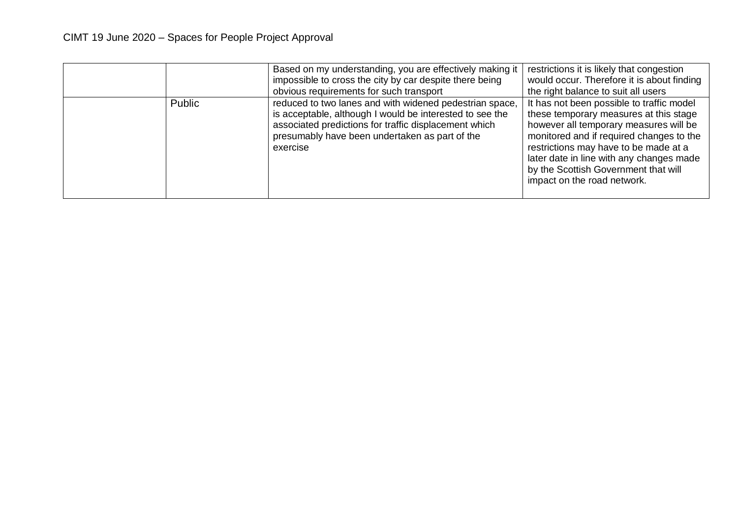|        | Based on my understanding, you are effectively making it<br>impossible to cross the city by car despite there being<br>obvious requirements for such transport                                                                             | restrictions it is likely that congestion<br>would occur. Therefore it is about finding<br>the right balance to suit all users                                                                                                                                                                                                        |
|--------|--------------------------------------------------------------------------------------------------------------------------------------------------------------------------------------------------------------------------------------------|---------------------------------------------------------------------------------------------------------------------------------------------------------------------------------------------------------------------------------------------------------------------------------------------------------------------------------------|
| Public | reduced to two lanes and with widened pedestrian space,<br>is acceptable, although I would be interested to see the<br>associated predictions for traffic displacement which<br>presumably have been undertaken as part of the<br>exercise | It has not been possible to traffic model<br>these temporary measures at this stage<br>however all temporary measures will be<br>monitored and if required changes to the<br>restrictions may have to be made at a<br>later date in line with any changes made<br>by the Scottish Government that will<br>impact on the road network. |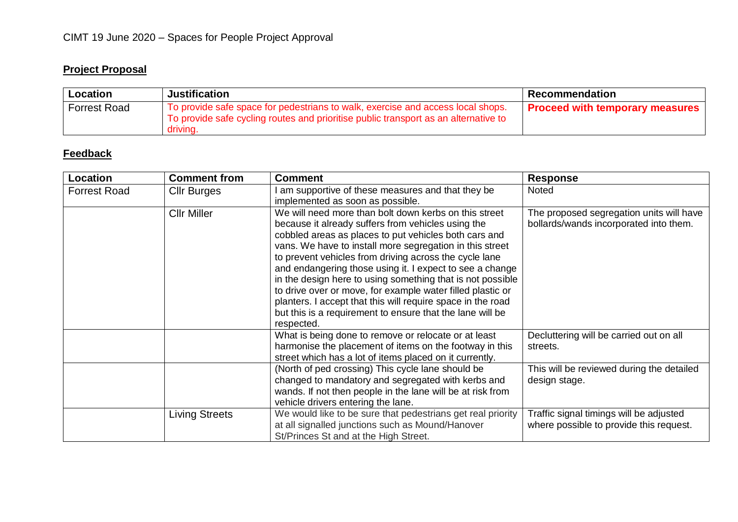# **Project Proposal**

| Location            | <b>Justification</b>                                                                                                                                                               | <b>Ⅰ Recommendation</b>                |
|---------------------|------------------------------------------------------------------------------------------------------------------------------------------------------------------------------------|----------------------------------------|
| <b>Forrest Road</b> | To provide safe space for pedestrians to walk, exercise and access local shops.<br>To provide safe cycling routes and prioritise public transport as an alternative to<br>driving. | <b>Proceed with temporary measures</b> |

| Location            | <b>Comment from</b>   | <b>Comment</b>                                                                                                                                                                                                                                                                                                                                                                                                                                                                                                                                                                                                               | <b>Response</b>                                                                    |
|---------------------|-----------------------|------------------------------------------------------------------------------------------------------------------------------------------------------------------------------------------------------------------------------------------------------------------------------------------------------------------------------------------------------------------------------------------------------------------------------------------------------------------------------------------------------------------------------------------------------------------------------------------------------------------------------|------------------------------------------------------------------------------------|
| <b>Forrest Road</b> | <b>Cllr Burges</b>    | am supportive of these measures and that they be<br>implemented as soon as possible.                                                                                                                                                                                                                                                                                                                                                                                                                                                                                                                                         | <b>Noted</b>                                                                       |
|                     | <b>Cllr Miller</b>    | We will need more than bolt down kerbs on this street<br>because it already suffers from vehicles using the<br>cobbled areas as places to put vehicles both cars and<br>vans. We have to install more segregation in this street<br>to prevent vehicles from driving across the cycle lane<br>and endangering those using it. I expect to see a change<br>in the design here to using something that is not possible<br>to drive over or move, for example water filled plastic or<br>planters. I accept that this will require space in the road<br>but this is a requirement to ensure that the lane will be<br>respected. | The proposed segregation units will have<br>bollards/wands incorporated into them. |
|                     |                       | What is being done to remove or relocate or at least<br>harmonise the placement of items on the footway in this<br>street which has a lot of items placed on it currently.                                                                                                                                                                                                                                                                                                                                                                                                                                                   | Decluttering will be carried out on all<br>streets.                                |
|                     |                       | (North of ped crossing) This cycle lane should be<br>changed to mandatory and segregated with kerbs and<br>wands. If not then people in the lane will be at risk from<br>vehicle drivers entering the lane.                                                                                                                                                                                                                                                                                                                                                                                                                  | This will be reviewed during the detailed<br>design stage.                         |
|                     | <b>Living Streets</b> | We would like to be sure that pedestrians get real priority<br>at all signalled junctions such as Mound/Hanover<br>St/Princes St and at the High Street.                                                                                                                                                                                                                                                                                                                                                                                                                                                                     | Traffic signal timings will be adjusted<br>where possible to provide this request. |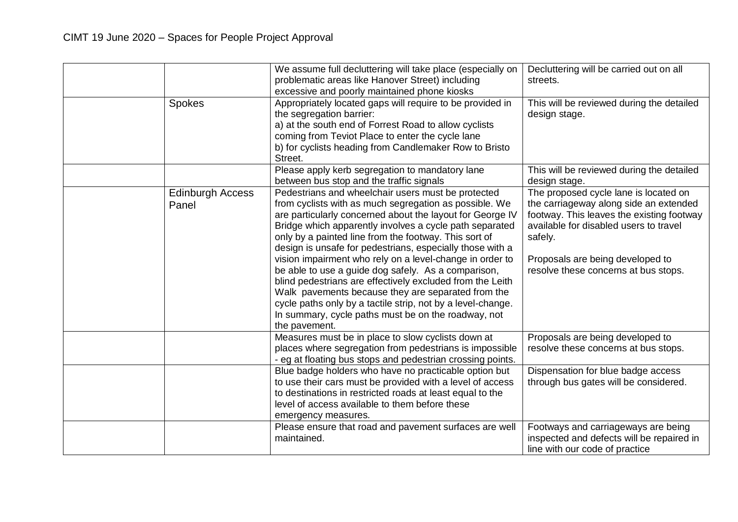|                                  | We assume full decluttering will take place (especially on<br>problematic areas like Hanover Street) including<br>excessive and poorly maintained phone kiosks                                                                                                                                                                                                                                                                                                                                                                                                                                                                                                                                                                          | Decluttering will be carried out on all<br>streets.                                                                                                                                                                                                           |
|----------------------------------|-----------------------------------------------------------------------------------------------------------------------------------------------------------------------------------------------------------------------------------------------------------------------------------------------------------------------------------------------------------------------------------------------------------------------------------------------------------------------------------------------------------------------------------------------------------------------------------------------------------------------------------------------------------------------------------------------------------------------------------------|---------------------------------------------------------------------------------------------------------------------------------------------------------------------------------------------------------------------------------------------------------------|
| <b>Spokes</b>                    | Appropriately located gaps will require to be provided in<br>the segregation barrier:<br>a) at the south end of Forrest Road to allow cyclists<br>coming from Teviot Place to enter the cycle lane<br>b) for cyclists heading from Candlemaker Row to Bristo<br>Street.                                                                                                                                                                                                                                                                                                                                                                                                                                                                 | This will be reviewed during the detailed<br>design stage.                                                                                                                                                                                                    |
|                                  | Please apply kerb segregation to mandatory lane<br>between bus stop and the traffic signals                                                                                                                                                                                                                                                                                                                                                                                                                                                                                                                                                                                                                                             | This will be reviewed during the detailed<br>design stage.                                                                                                                                                                                                    |
| <b>Edinburgh Access</b><br>Panel | Pedestrians and wheelchair users must be protected<br>from cyclists with as much segregation as possible. We<br>are particularly concerned about the layout for George IV<br>Bridge which apparently involves a cycle path separated<br>only by a painted line from the footway. This sort of<br>design is unsafe for pedestrians, especially those with a<br>vision impairment who rely on a level-change in order to<br>be able to use a guide dog safely. As a comparison,<br>blind pedestrians are effectively excluded from the Leith<br>Walk pavements because they are separated from the<br>cycle paths only by a tactile strip, not by a level-change.<br>In summary, cycle paths must be on the roadway, not<br>the pavement. | The proposed cycle lane is located on<br>the carriageway along side an extended<br>footway. This leaves the existing footway<br>available for disabled users to travel<br>safely.<br>Proposals are being developed to<br>resolve these concerns at bus stops. |
|                                  | Measures must be in place to slow cyclists down at<br>places where segregation from pedestrians is impossible<br>- eg at floating bus stops and pedestrian crossing points.                                                                                                                                                                                                                                                                                                                                                                                                                                                                                                                                                             | Proposals are being developed to<br>resolve these concerns at bus stops.                                                                                                                                                                                      |
|                                  | Blue badge holders who have no practicable option but<br>to use their cars must be provided with a level of access<br>to destinations in restricted roads at least equal to the<br>level of access available to them before these<br>emergency measures.                                                                                                                                                                                                                                                                                                                                                                                                                                                                                | Dispensation for blue badge access<br>through bus gates will be considered.                                                                                                                                                                                   |
|                                  | Please ensure that road and pavement surfaces are well<br>maintained.                                                                                                                                                                                                                                                                                                                                                                                                                                                                                                                                                                                                                                                                   | Footways and carriageways are being<br>inspected and defects will be repaired in<br>line with our code of practice                                                                                                                                            |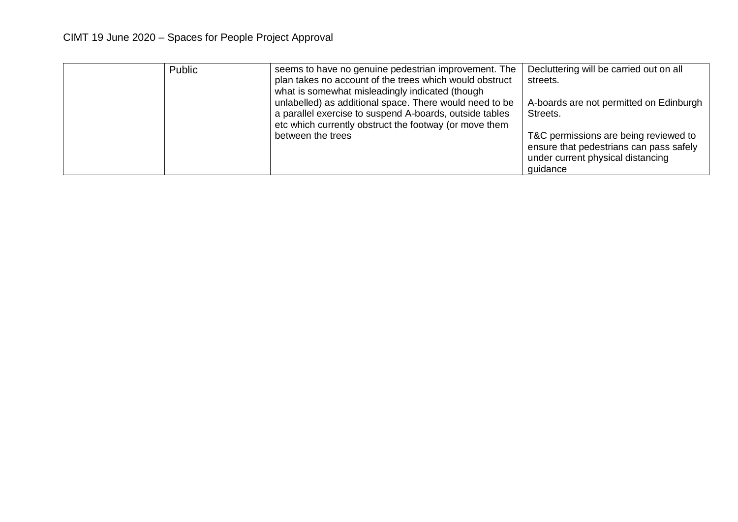| Public | seems to have no genuine pedestrian improvement. The<br>plan takes no account of the trees which would obstruct<br>what is somewhat misleadingly indicated (though           | Decluttering will be carried out on all<br>streets.                                                                               |
|--------|------------------------------------------------------------------------------------------------------------------------------------------------------------------------------|-----------------------------------------------------------------------------------------------------------------------------------|
|        | unlabelled) as additional space. There would need to be<br>a parallel exercise to suspend A-boards, outside tables<br>etc which currently obstruct the footway (or move them | A-boards are not permitted on Edinburgh<br>Streets.                                                                               |
|        | between the trees                                                                                                                                                            | T&C permissions are being reviewed to<br>ensure that pedestrians can pass safely<br>under current physical distancing<br>guidance |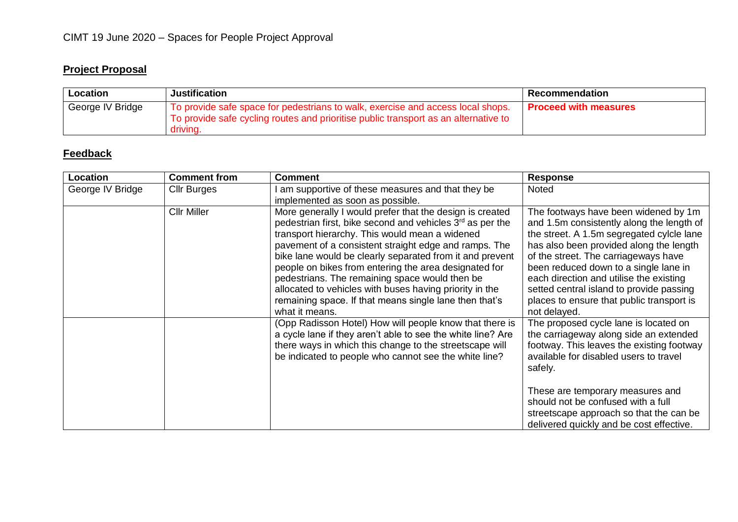# **Project Proposal**

| Location         | <b>Justification</b>                                                                                                                                                               | Recommendation               |
|------------------|------------------------------------------------------------------------------------------------------------------------------------------------------------------------------------|------------------------------|
| George IV Bridge | To provide safe space for pedestrians to walk, exercise and access local shops.<br>To provide safe cycling routes and prioritise public transport as an alternative to<br>driving. | <b>Proceed with measures</b> |

| <b>Location</b>  | <b>Comment from</b> | <b>Comment</b>                                                                                                                                                                                                                                                                                                                                                                                                                                                                                                                                             | <b>Response</b>                                                                                                                                                                                                                                                                                                                                                                                                |
|------------------|---------------------|------------------------------------------------------------------------------------------------------------------------------------------------------------------------------------------------------------------------------------------------------------------------------------------------------------------------------------------------------------------------------------------------------------------------------------------------------------------------------------------------------------------------------------------------------------|----------------------------------------------------------------------------------------------------------------------------------------------------------------------------------------------------------------------------------------------------------------------------------------------------------------------------------------------------------------------------------------------------------------|
| George IV Bridge | <b>Cllr Burges</b>  | am supportive of these measures and that they be<br>implemented as soon as possible.                                                                                                                                                                                                                                                                                                                                                                                                                                                                       | <b>Noted</b>                                                                                                                                                                                                                                                                                                                                                                                                   |
|                  | <b>Cllr Miller</b>  | More generally I would prefer that the design is created<br>pedestrian first, bike second and vehicles 3 <sup>rd</sup> as per the<br>transport hierarchy. This would mean a widened<br>pavement of a consistent straight edge and ramps. The<br>bike lane would be clearly separated from it and prevent<br>people on bikes from entering the area designated for<br>pedestrians. The remaining space would then be<br>allocated to vehicles with buses having priority in the<br>remaining space. If that means single lane then that's<br>what it means. | The footways have been widened by 1m<br>and 1.5m consistently along the length of<br>the street. A 1.5m segregated cylcle lane<br>has also been provided along the length<br>of the street. The carriageways have<br>been reduced down to a single lane in<br>each direction and utilise the existing<br>setted central island to provide passing<br>places to ensure that public transport is<br>not delayed. |
|                  |                     | (Opp Radisson Hotel) How will people know that there is<br>a cycle lane if they aren't able to see the white line? Are<br>there ways in which this change to the streetscape will<br>be indicated to people who cannot see the white line?                                                                                                                                                                                                                                                                                                                 | The proposed cycle lane is located on<br>the carriageway along side an extended<br>footway. This leaves the existing footway<br>available for disabled users to travel<br>safely.<br>These are temporary measures and<br>should not be confused with a full<br>streetscape approach so that the can be<br>delivered quickly and be cost effective.                                                             |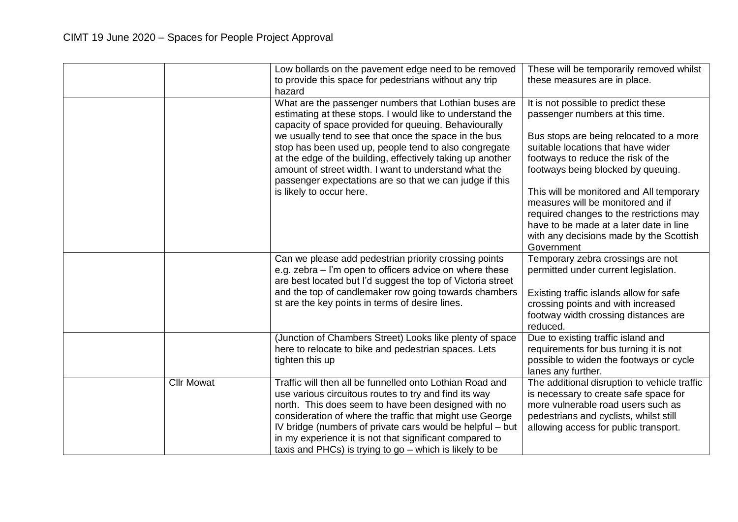|                   | Low bollards on the pavement edge need to be removed<br>to provide this space for pedestrians without any trip<br>hazard                                                                                                                                                                                                                                                                                                  | These will be temporarily removed whilst<br>these measures are in place.                                                                                                                                                      |
|-------------------|---------------------------------------------------------------------------------------------------------------------------------------------------------------------------------------------------------------------------------------------------------------------------------------------------------------------------------------------------------------------------------------------------------------------------|-------------------------------------------------------------------------------------------------------------------------------------------------------------------------------------------------------------------------------|
|                   | What are the passenger numbers that Lothian buses are<br>estimating at these stops. I would like to understand the<br>capacity of space provided for queuing. Behaviourally                                                                                                                                                                                                                                               | It is not possible to predict these<br>passenger numbers at this time.                                                                                                                                                        |
|                   | we usually tend to see that once the space in the bus<br>stop has been used up, people tend to also congregate<br>at the edge of the building, effectively taking up another<br>amount of street width. I want to understand what the<br>passenger expectations are so that we can judge if this                                                                                                                          | Bus stops are being relocated to a more<br>suitable locations that have wider<br>footways to reduce the risk of the<br>footways being blocked by queuing.                                                                     |
|                   | is likely to occur here.                                                                                                                                                                                                                                                                                                                                                                                                  | This will be monitored and All temporary<br>measures will be monitored and if<br>required changes to the restrictions may<br>have to be made at a later date in line<br>with any decisions made by the Scottish<br>Government |
|                   | Can we please add pedestrian priority crossing points<br>e.g. zebra – I'm open to officers advice on where these<br>are best located but I'd suggest the top of Victoria street                                                                                                                                                                                                                                           | Temporary zebra crossings are not<br>permitted under current legislation.                                                                                                                                                     |
|                   | and the top of candlemaker row going towards chambers<br>st are the key points in terms of desire lines.                                                                                                                                                                                                                                                                                                                  | Existing traffic islands allow for safe<br>crossing points and with increased<br>footway width crossing distances are<br>reduced.                                                                                             |
|                   | (Junction of Chambers Street) Looks like plenty of space<br>here to relocate to bike and pedestrian spaces. Lets<br>tighten this up                                                                                                                                                                                                                                                                                       | Due to existing traffic island and<br>requirements for bus turning it is not<br>possible to widen the footways or cycle<br>lanes any further.                                                                                 |
| <b>Cllr Mowat</b> | Traffic will then all be funnelled onto Lothian Road and<br>use various circuitous routes to try and find its way<br>north. This does seem to have been designed with no<br>consideration of where the traffic that might use George<br>IV bridge (numbers of private cars would be helpful - but<br>in my experience it is not that significant compared to<br>taxis and PHCs) is trying to go $-$ which is likely to be | The additional disruption to vehicle traffic<br>is necessary to create safe space for<br>more vulnerable road users such as<br>pedestrians and cyclists, whilst still<br>allowing access for public transport.                |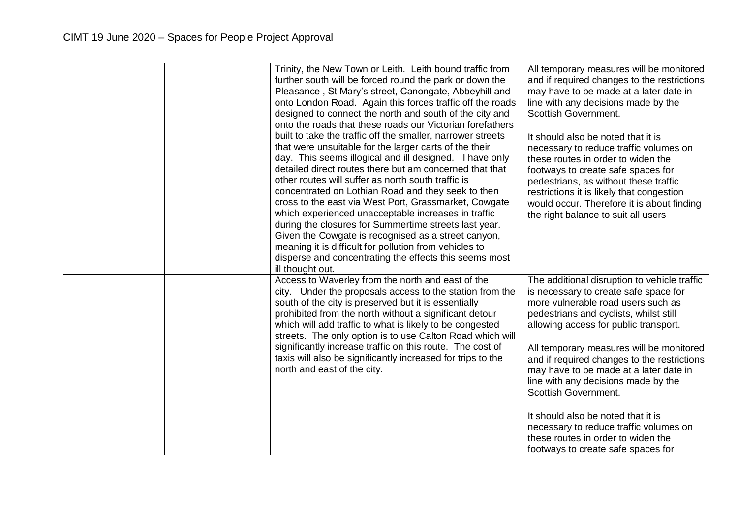|  | Trinity, the New Town or Leith. Leith bound traffic from<br>further south will be forced round the park or down the<br>Pleasance, St Mary's street, Canongate, Abbeyhill and<br>onto London Road. Again this forces traffic off the roads<br>designed to connect the north and south of the city and<br>onto the roads that these roads our Victorian forefathers<br>built to take the traffic off the smaller, narrower streets<br>that were unsuitable for the larger carts of the their<br>day. This seems illogical and ill designed. I have only<br>detailed direct routes there but am concerned that that<br>other routes will suffer as north south traffic is<br>concentrated on Lothian Road and they seek to then<br>cross to the east via West Port, Grassmarket, Cowgate<br>which experienced unacceptable increases in traffic<br>during the closures for Summertime streets last year.<br>Given the Cowgate is recognised as a street canyon,<br>meaning it is difficult for pollution from vehicles to<br>disperse and concentrating the effects this seems most<br>ill thought out. | All temporary measures will be monitored<br>and if required changes to the restrictions<br>may have to be made at a later date in<br>line with any decisions made by the<br><b>Scottish Government.</b><br>It should also be noted that it is<br>necessary to reduce traffic volumes on<br>these routes in order to widen the<br>footways to create safe spaces for<br>pedestrians, as without these traffic<br>restrictions it is likely that congestion<br>would occur. Therefore it is about finding<br>the right balance to suit all users                                        |
|--|------------------------------------------------------------------------------------------------------------------------------------------------------------------------------------------------------------------------------------------------------------------------------------------------------------------------------------------------------------------------------------------------------------------------------------------------------------------------------------------------------------------------------------------------------------------------------------------------------------------------------------------------------------------------------------------------------------------------------------------------------------------------------------------------------------------------------------------------------------------------------------------------------------------------------------------------------------------------------------------------------------------------------------------------------------------------------------------------------|---------------------------------------------------------------------------------------------------------------------------------------------------------------------------------------------------------------------------------------------------------------------------------------------------------------------------------------------------------------------------------------------------------------------------------------------------------------------------------------------------------------------------------------------------------------------------------------|
|  | Access to Waverley from the north and east of the<br>city. Under the proposals access to the station from the<br>south of the city is preserved but it is essentially<br>prohibited from the north without a significant detour<br>which will add traffic to what is likely to be congested<br>streets. The only option is to use Calton Road which will<br>significantly increase traffic on this route. The cost of<br>taxis will also be significantly increased for trips to the<br>north and east of the city.                                                                                                                                                                                                                                                                                                                                                                                                                                                                                                                                                                                  | The additional disruption to vehicle traffic<br>is necessary to create safe space for<br>more vulnerable road users such as<br>pedestrians and cyclists, whilst still<br>allowing access for public transport.<br>All temporary measures will be monitored<br>and if required changes to the restrictions<br>may have to be made at a later date in<br>line with any decisions made by the<br><b>Scottish Government.</b><br>It should also be noted that it is<br>necessary to reduce traffic volumes on<br>these routes in order to widen the<br>footways to create safe spaces for |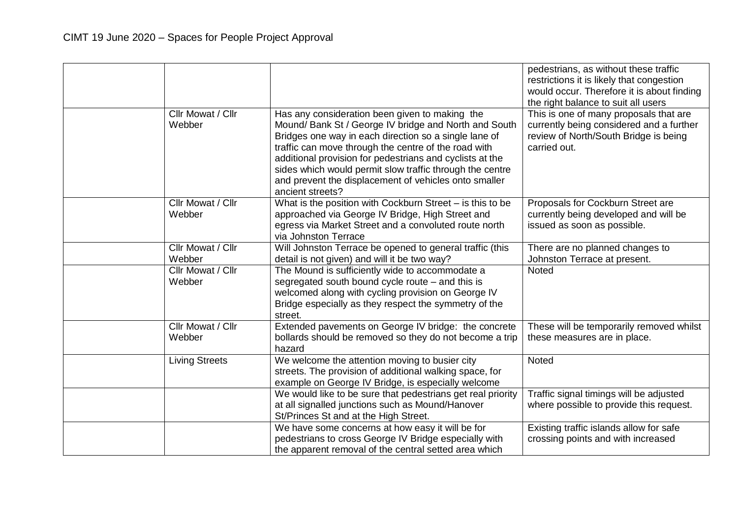| Cllr Mowat / Cllr           | Has any consideration been given to making the                                                                                                                                                                                                                                                                                                                              | pedestrians, as without these traffic<br>restrictions it is likely that congestion<br>would occur. Therefore it is about finding<br>the right balance to suit all users<br>This is one of many proposals that are |
|-----------------------------|-----------------------------------------------------------------------------------------------------------------------------------------------------------------------------------------------------------------------------------------------------------------------------------------------------------------------------------------------------------------------------|-------------------------------------------------------------------------------------------------------------------------------------------------------------------------------------------------------------------|
| Webber                      | Mound/ Bank St / George IV bridge and North and South<br>Bridges one way in each direction so a single lane of<br>traffic can move through the centre of the road with<br>additional provision for pedestrians and cyclists at the<br>sides which would permit slow traffic through the centre<br>and prevent the displacement of vehicles onto smaller<br>ancient streets? | currently being considered and a further<br>review of North/South Bridge is being<br>carried out.                                                                                                                 |
| Cllr Mowat / Cllr<br>Webber | What is the position with Cockburn Street - is this to be<br>approached via George IV Bridge, High Street and<br>egress via Market Street and a convoluted route north<br>via Johnston Terrace                                                                                                                                                                              | Proposals for Cockburn Street are<br>currently being developed and will be<br>issued as soon as possible.                                                                                                         |
| Cllr Mowat / Cllr<br>Webber | Will Johnston Terrace be opened to general traffic (this<br>detail is not given) and will it be two way?                                                                                                                                                                                                                                                                    | There are no planned changes to<br>Johnston Terrace at present.                                                                                                                                                   |
| Cllr Mowat / Cllr<br>Webber | The Mound is sufficiently wide to accommodate a<br>segregated south bound cycle route – and this is<br>welcomed along with cycling provision on George IV<br>Bridge especially as they respect the symmetry of the<br>street.                                                                                                                                               | <b>Noted</b>                                                                                                                                                                                                      |
| Cllr Mowat / Cllr<br>Webber | Extended pavements on George IV bridge: the concrete<br>bollards should be removed so they do not become a trip<br>hazard                                                                                                                                                                                                                                                   | These will be temporarily removed whilst<br>these measures are in place.                                                                                                                                          |
| <b>Living Streets</b>       | We welcome the attention moving to busier city<br>streets. The provision of additional walking space, for<br>example on George IV Bridge, is especially welcome                                                                                                                                                                                                             | <b>Noted</b>                                                                                                                                                                                                      |
|                             | We would like to be sure that pedestrians get real priority<br>at all signalled junctions such as Mound/Hanover<br>St/Princes St and at the High Street.                                                                                                                                                                                                                    | Traffic signal timings will be adjusted<br>where possible to provide this request.                                                                                                                                |
|                             | We have some concerns at how easy it will be for<br>pedestrians to cross George IV Bridge especially with<br>the apparent removal of the central setted area which                                                                                                                                                                                                          | Existing traffic islands allow for safe<br>crossing points and with increased                                                                                                                                     |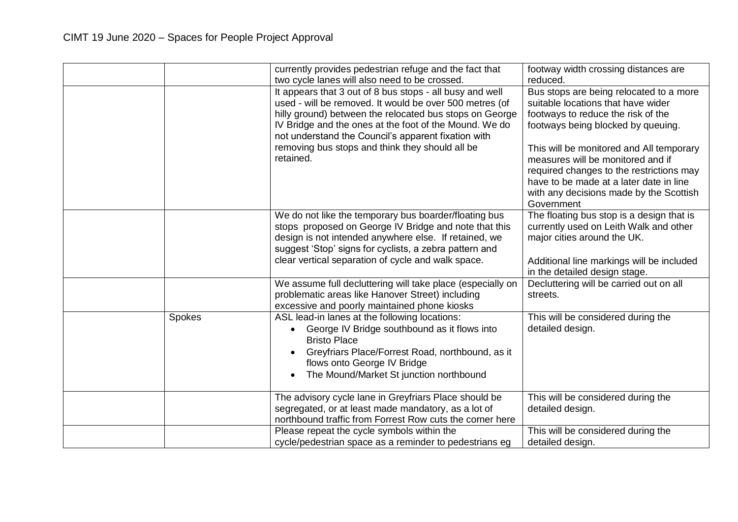|        | currently provides pedestrian refuge and the fact that<br>two cycle lanes will also need to be crossed.                                                                                                                                                                                         | footway width crossing distances are<br>reduced.                                                                                                                                                                              |
|--------|-------------------------------------------------------------------------------------------------------------------------------------------------------------------------------------------------------------------------------------------------------------------------------------------------|-------------------------------------------------------------------------------------------------------------------------------------------------------------------------------------------------------------------------------|
|        | It appears that 3 out of 8 bus stops - all busy and well<br>used - will be removed. It would be over 500 metres (of<br>hilly ground) between the relocated bus stops on George<br>IV Bridge and the ones at the foot of the Mound. We do<br>not understand the Council's apparent fixation with | Bus stops are being relocated to a more<br>suitable locations that have wider<br>footways to reduce the risk of the<br>footways being blocked by queuing.                                                                     |
|        | removing bus stops and think they should all be<br>retained.                                                                                                                                                                                                                                    | This will be monitored and All temporary<br>measures will be monitored and if<br>required changes to the restrictions may<br>have to be made at a later date in line<br>with any decisions made by the Scottish<br>Government |
|        | We do not like the temporary bus boarder/floating bus<br>stops proposed on George IV Bridge and note that this<br>design is not intended anywhere else. If retained, we<br>suggest 'Stop' signs for cyclists, a zebra pattern and<br>clear vertical separation of cycle and walk space.         | The floating bus stop is a design that is<br>currently used on Leith Walk and other<br>major cities around the UK.<br>Additional line markings will be included<br>in the detailed design stage.                              |
|        | We assume full decluttering will take place (especially on<br>problematic areas like Hanover Street) including<br>excessive and poorly maintained phone kiosks                                                                                                                                  | Decluttering will be carried out on all<br>streets.                                                                                                                                                                           |
| Spokes | ASL lead-in lanes at the following locations:<br>George IV Bridge southbound as it flows into<br>$\bullet$<br><b>Bristo Place</b><br>Greyfriars Place/Forrest Road, northbound, as it<br>$\bullet$<br>flows onto George IV Bridge<br>The Mound/Market St junction northbound                    | This will be considered during the<br>detailed design.                                                                                                                                                                        |
|        | The advisory cycle lane in Greyfriars Place should be<br>segregated, or at least made mandatory, as a lot of<br>northbound traffic from Forrest Row cuts the corner here                                                                                                                        | This will be considered during the<br>detailed design.                                                                                                                                                                        |
|        | Please repeat the cycle symbols within the<br>cycle/pedestrian space as a reminder to pedestrians eg                                                                                                                                                                                            | This will be considered during the<br>detailed design.                                                                                                                                                                        |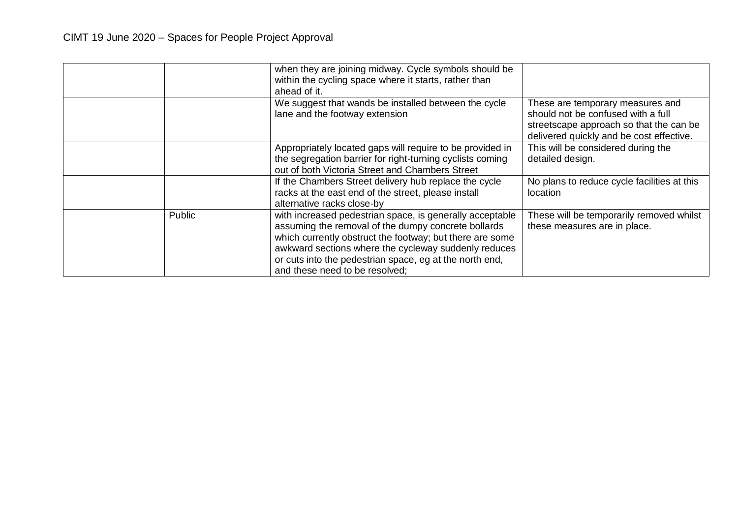|        | when they are joining midway. Cycle symbols should be<br>within the cycling space where it starts, rather than<br>ahead of it.                                                                                                                                                                                                   |                                                                                                                                                               |
|--------|----------------------------------------------------------------------------------------------------------------------------------------------------------------------------------------------------------------------------------------------------------------------------------------------------------------------------------|---------------------------------------------------------------------------------------------------------------------------------------------------------------|
|        | We suggest that wands be installed between the cycle<br>lane and the footway extension                                                                                                                                                                                                                                           | These are temporary measures and<br>should not be confused with a full<br>streetscape approach so that the can be<br>delivered quickly and be cost effective. |
|        | Appropriately located gaps will require to be provided in<br>the segregation barrier for right-turning cyclists coming<br>out of both Victoria Street and Chambers Street                                                                                                                                                        | This will be considered during the<br>detailed design.                                                                                                        |
|        | If the Chambers Street delivery hub replace the cycle<br>racks at the east end of the street, please install<br>alternative racks close-by                                                                                                                                                                                       | No plans to reduce cycle facilities at this<br>location                                                                                                       |
| Public | with increased pedestrian space, is generally acceptable<br>assuming the removal of the dumpy concrete bollards<br>which currently obstruct the footway; but there are some<br>awkward sections where the cycleway suddenly reduces<br>or cuts into the pedestrian space, eg at the north end,<br>and these need to be resolved; | These will be temporarily removed whilst<br>these measures are in place.                                                                                      |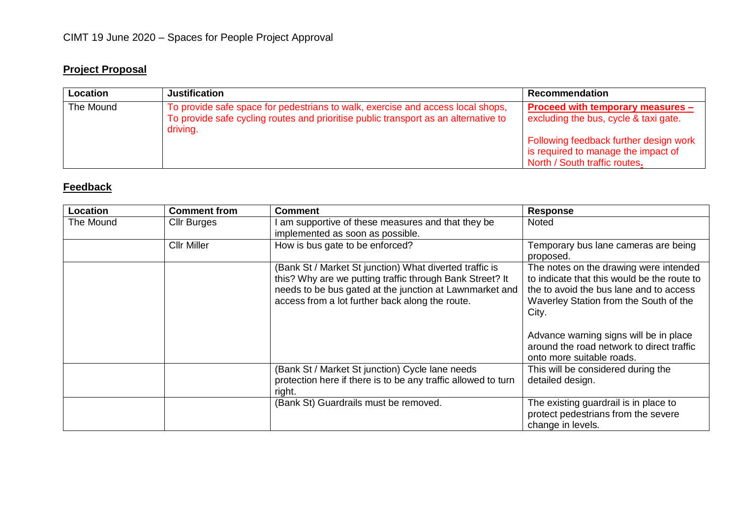# **Project Proposal**

| Location  | <b>Justification</b>                                                                                                                                                               | <b>Recommendation</b>                                                                                                |
|-----------|------------------------------------------------------------------------------------------------------------------------------------------------------------------------------------|----------------------------------------------------------------------------------------------------------------------|
| The Mound | To provide safe space for pedestrians to walk, exercise and access local shops,<br>To provide safe cycling routes and prioritise public transport as an alternative to<br>driving. | Proceed with temporary measures -<br>excluding the bus, cycle & taxi gate.<br>Following feedback further design work |
|           |                                                                                                                                                                                    | is required to manage the impact of<br>North / South traffic routes.                                                 |

| Location  | <b>Comment from</b> | <b>Comment</b>                                                                                                                                                                                                                    | <b>Response</b>                                                                                                                                                                                                                                                                                         |
|-----------|---------------------|-----------------------------------------------------------------------------------------------------------------------------------------------------------------------------------------------------------------------------------|---------------------------------------------------------------------------------------------------------------------------------------------------------------------------------------------------------------------------------------------------------------------------------------------------------|
| The Mound | <b>Cllr Burges</b>  | am supportive of these measures and that they be<br>implemented as soon as possible.                                                                                                                                              | <b>Noted</b>                                                                                                                                                                                                                                                                                            |
|           | <b>Cllr Miller</b>  | How is bus gate to be enforced?                                                                                                                                                                                                   | Temporary bus lane cameras are being<br>proposed.                                                                                                                                                                                                                                                       |
|           |                     | (Bank St / Market St junction) What diverted traffic is<br>this? Why are we putting traffic through Bank Street? It<br>needs to be bus gated at the junction at Lawnmarket and<br>access from a lot further back along the route. | The notes on the drawing were intended<br>to indicate that this would be the route to<br>the to avoid the bus lane and to access<br>Waverley Station from the South of the<br>City.<br>Advance warning signs will be in place<br>around the road network to direct traffic<br>onto more suitable roads. |
|           |                     | (Bank St / Market St junction) Cycle lane needs<br>protection here if there is to be any traffic allowed to turn<br>right.                                                                                                        | This will be considered during the<br>detailed design.                                                                                                                                                                                                                                                  |
|           |                     | (Bank St) Guardrails must be removed.                                                                                                                                                                                             | The existing guardrail is in place to<br>protect pedestrians from the severe<br>change in levels.                                                                                                                                                                                                       |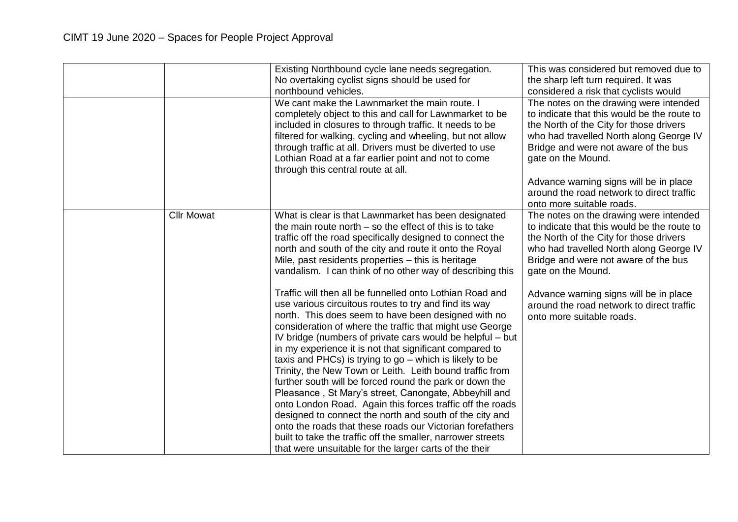|                   | Existing Northbound cycle lane needs segregation.<br>No overtaking cyclist signs should be used for<br>northbound vehicles.<br>We cant make the Lawnmarket the main route. I                                                                                                                                                                                                                                                                                                                                                                                                                                                                                                                                                                                                                                                                                                                                            | This was considered but removed due to<br>the sharp left turn required. It was<br>considered a risk that cyclists would<br>The notes on the drawing were intended                                                                         |
|-------------------|-------------------------------------------------------------------------------------------------------------------------------------------------------------------------------------------------------------------------------------------------------------------------------------------------------------------------------------------------------------------------------------------------------------------------------------------------------------------------------------------------------------------------------------------------------------------------------------------------------------------------------------------------------------------------------------------------------------------------------------------------------------------------------------------------------------------------------------------------------------------------------------------------------------------------|-------------------------------------------------------------------------------------------------------------------------------------------------------------------------------------------------------------------------------------------|
|                   | completely object to this and call for Lawnmarket to be<br>included in closures to through traffic. It needs to be<br>filtered for walking, cycling and wheeling, but not allow<br>through traffic at all. Drivers must be diverted to use<br>Lothian Road at a far earlier point and not to come<br>through this central route at all.                                                                                                                                                                                                                                                                                                                                                                                                                                                                                                                                                                                 | to indicate that this would be the route to<br>the North of the City for those drivers<br>who had travelled North along George IV<br>Bridge and were not aware of the bus<br>gate on the Mound.                                           |
|                   |                                                                                                                                                                                                                                                                                                                                                                                                                                                                                                                                                                                                                                                                                                                                                                                                                                                                                                                         | Advance warning signs will be in place<br>around the road network to direct traffic<br>onto more suitable roads.                                                                                                                          |
| <b>Cllr Mowat</b> | What is clear is that Lawnmarket has been designated<br>the main route north $-$ so the effect of this is to take<br>traffic off the road specifically designed to connect the<br>north and south of the city and route it onto the Royal<br>Mile, past residents properties - this is heritage<br>vandalism. I can think of no other way of describing this                                                                                                                                                                                                                                                                                                                                                                                                                                                                                                                                                            | The notes on the drawing were intended<br>to indicate that this would be the route to<br>the North of the City for those drivers<br>who had travelled North along George IV<br>Bridge and were not aware of the bus<br>gate on the Mound. |
|                   | Traffic will then all be funnelled onto Lothian Road and<br>use various circuitous routes to try and find its way<br>north. This does seem to have been designed with no<br>consideration of where the traffic that might use George<br>IV bridge (numbers of private cars would be helpful – but<br>in my experience it is not that significant compared to<br>taxis and PHCs) is trying to $go$ – which is likely to be<br>Trinity, the New Town or Leith. Leith bound traffic from<br>further south will be forced round the park or down the<br>Pleasance, St Mary's street, Canongate, Abbeyhill and<br>onto London Road. Again this forces traffic off the roads<br>designed to connect the north and south of the city and<br>onto the roads that these roads our Victorian forefathers<br>built to take the traffic off the smaller, narrower streets<br>that were unsuitable for the larger carts of the their | Advance warning signs will be in place<br>around the road network to direct traffic<br>onto more suitable roads.                                                                                                                          |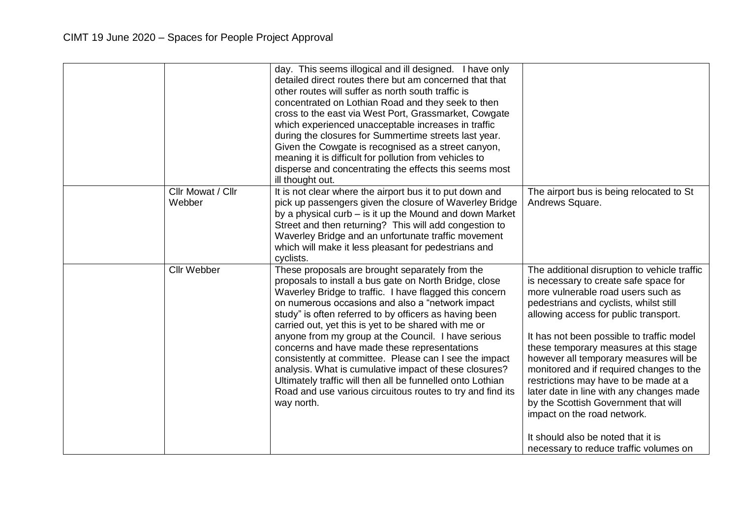|        |                   | day. This seems illogical and ill designed. I have only<br>detailed direct routes there but am concerned that that<br>other routes will suffer as north south traffic is<br>concentrated on Lothian Road and they seek to then<br>cross to the east via West Port, Grassmarket, Cowgate<br>which experienced unacceptable increases in traffic<br>during the closures for Summertime streets last year.<br>Given the Cowgate is recognised as a street canyon,<br>meaning it is difficult for pollution from vehicles to<br>disperse and concentrating the effects this seems most<br>ill thought out.                                                                                                          |                                                                                                                                                                                                                                                                                                                                                                                                                                                                                                                                                                                                                                         |
|--------|-------------------|-----------------------------------------------------------------------------------------------------------------------------------------------------------------------------------------------------------------------------------------------------------------------------------------------------------------------------------------------------------------------------------------------------------------------------------------------------------------------------------------------------------------------------------------------------------------------------------------------------------------------------------------------------------------------------------------------------------------|-----------------------------------------------------------------------------------------------------------------------------------------------------------------------------------------------------------------------------------------------------------------------------------------------------------------------------------------------------------------------------------------------------------------------------------------------------------------------------------------------------------------------------------------------------------------------------------------------------------------------------------------|
| Webber | Cllr Mowat / Cllr | It is not clear where the airport bus it to put down and<br>pick up passengers given the closure of Waverley Bridge<br>by a physical curb $-$ is it up the Mound and down Market<br>Street and then returning? This will add congestion to<br>Waverley Bridge and an unfortunate traffic movement<br>which will make it less pleasant for pedestrians and<br>cyclists.                                                                                                                                                                                                                                                                                                                                          | The airport bus is being relocated to St<br>Andrews Square.                                                                                                                                                                                                                                                                                                                                                                                                                                                                                                                                                                             |
|        | Cllr Webber       | These proposals are brought separately from the<br>proposals to install a bus gate on North Bridge, close<br>Waverley Bridge to traffic. I have flagged this concern<br>on numerous occasions and also a "network impact<br>study" is often referred to by officers as having been<br>carried out, yet this is yet to be shared with me or<br>anyone from my group at the Council. I have serious<br>concerns and have made these representations<br>consistently at committee. Please can I see the impact<br>analysis. What is cumulative impact of these closures?<br>Ultimately traffic will then all be funnelled onto Lothian<br>Road and use various circuitous routes to try and find its<br>way north. | The additional disruption to vehicle traffic<br>is necessary to create safe space for<br>more vulnerable road users such as<br>pedestrians and cyclists, whilst still<br>allowing access for public transport.<br>It has not been possible to traffic model<br>these temporary measures at this stage<br>however all temporary measures will be<br>monitored and if required changes to the<br>restrictions may have to be made at a<br>later date in line with any changes made<br>by the Scottish Government that will<br>impact on the road network.<br>It should also be noted that it is<br>necessary to reduce traffic volumes on |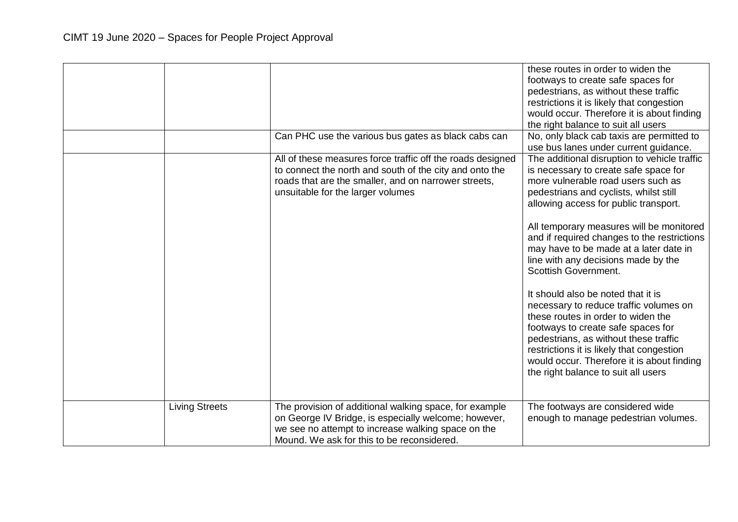|                       |                                                                                                                                                                                                                    | these routes in order to widen the<br>footways to create safe spaces for<br>pedestrians, as without these traffic<br>restrictions it is likely that congestion<br>would occur. Therefore it is about finding<br>the right balance to suit all users                                                                                                                                                                                                                                                                                                                                                                                                                                                                                                              |
|-----------------------|--------------------------------------------------------------------------------------------------------------------------------------------------------------------------------------------------------------------|------------------------------------------------------------------------------------------------------------------------------------------------------------------------------------------------------------------------------------------------------------------------------------------------------------------------------------------------------------------------------------------------------------------------------------------------------------------------------------------------------------------------------------------------------------------------------------------------------------------------------------------------------------------------------------------------------------------------------------------------------------------|
|                       | Can PHC use the various bus gates as black cabs can                                                                                                                                                                | No, only black cab taxis are permitted to<br>use bus lanes under current guidance.                                                                                                                                                                                                                                                                                                                                                                                                                                                                                                                                                                                                                                                                               |
|                       | All of these measures force traffic off the roads designed<br>to connect the north and south of the city and onto the<br>roads that are the smaller, and on narrower streets,<br>unsuitable for the larger volumes | The additional disruption to vehicle traffic<br>is necessary to create safe space for<br>more vulnerable road users such as<br>pedestrians and cyclists, whilst still<br>allowing access for public transport.<br>All temporary measures will be monitored<br>and if required changes to the restrictions<br>may have to be made at a later date in<br>line with any decisions made by the<br><b>Scottish Government.</b><br>It should also be noted that it is<br>necessary to reduce traffic volumes on<br>these routes in order to widen the<br>footways to create safe spaces for<br>pedestrians, as without these traffic<br>restrictions it is likely that congestion<br>would occur. Therefore it is about finding<br>the right balance to suit all users |
| <b>Living Streets</b> | The provision of additional walking space, for example<br>on George IV Bridge, is especially welcome; however,                                                                                                     | The footways are considered wide<br>enough to manage pedestrian volumes.                                                                                                                                                                                                                                                                                                                                                                                                                                                                                                                                                                                                                                                                                         |
|                       | we see no attempt to increase walking space on the<br>Mound. We ask for this to be reconsidered.                                                                                                                   |                                                                                                                                                                                                                                                                                                                                                                                                                                                                                                                                                                                                                                                                                                                                                                  |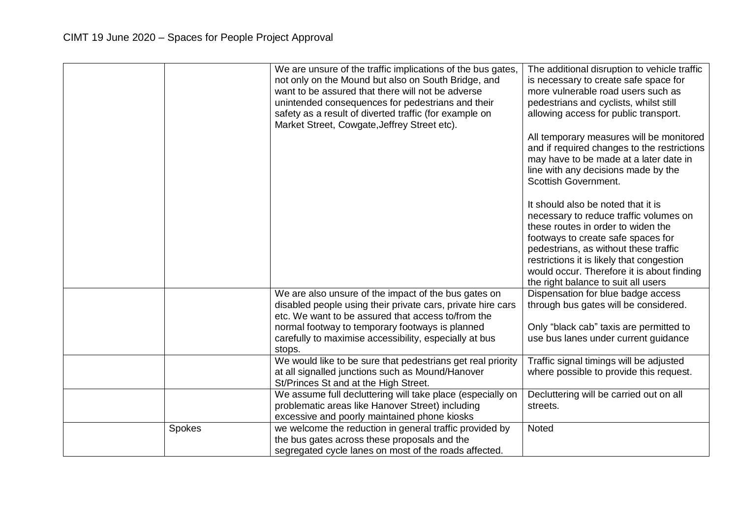|        | We are unsure of the traffic implications of the bus gates,<br>not only on the Mound but also on South Bridge, and<br>want to be assured that there will not be adverse<br>unintended consequences for pedestrians and their<br>safety as a result of diverted traffic (for example on<br>Market Street, Cowgate, Jeffrey Street etc). | The additional disruption to vehicle traffic<br>is necessary to create safe space for<br>more vulnerable road users such as<br>pedestrians and cyclists, whilst still<br>allowing access for public transport.<br>All temporary measures will be monitored<br>and if required changes to the restrictions<br>may have to be made at a later date in<br>line with any decisions made by the<br>Scottish Government.<br>It should also be noted that it is<br>necessary to reduce traffic volumes on<br>these routes in order to widen the<br>footways to create safe spaces for |
|--------|----------------------------------------------------------------------------------------------------------------------------------------------------------------------------------------------------------------------------------------------------------------------------------------------------------------------------------------|--------------------------------------------------------------------------------------------------------------------------------------------------------------------------------------------------------------------------------------------------------------------------------------------------------------------------------------------------------------------------------------------------------------------------------------------------------------------------------------------------------------------------------------------------------------------------------|
|        |                                                                                                                                                                                                                                                                                                                                        | pedestrians, as without these traffic                                                                                                                                                                                                                                                                                                                                                                                                                                                                                                                                          |
|        |                                                                                                                                                                                                                                                                                                                                        | restrictions it is likely that congestion                                                                                                                                                                                                                                                                                                                                                                                                                                                                                                                                      |
|        |                                                                                                                                                                                                                                                                                                                                        | would occur. Therefore it is about finding                                                                                                                                                                                                                                                                                                                                                                                                                                                                                                                                     |
|        |                                                                                                                                                                                                                                                                                                                                        | the right balance to suit all users                                                                                                                                                                                                                                                                                                                                                                                                                                                                                                                                            |
|        | We are also unsure of the impact of the bus gates on                                                                                                                                                                                                                                                                                   | Dispensation for blue badge access                                                                                                                                                                                                                                                                                                                                                                                                                                                                                                                                             |
|        | disabled people using their private cars, private hire cars                                                                                                                                                                                                                                                                            | through bus gates will be considered.                                                                                                                                                                                                                                                                                                                                                                                                                                                                                                                                          |
|        | etc. We want to be assured that access to/from the                                                                                                                                                                                                                                                                                     |                                                                                                                                                                                                                                                                                                                                                                                                                                                                                                                                                                                |
|        | normal footway to temporary footways is planned                                                                                                                                                                                                                                                                                        | Only "black cab" taxis are permitted to                                                                                                                                                                                                                                                                                                                                                                                                                                                                                                                                        |
|        | carefully to maximise accessibility, especially at bus<br>stops.                                                                                                                                                                                                                                                                       | use bus lanes under current guidance                                                                                                                                                                                                                                                                                                                                                                                                                                                                                                                                           |
|        | We would like to be sure that pedestrians get real priority                                                                                                                                                                                                                                                                            | Traffic signal timings will be adjusted                                                                                                                                                                                                                                                                                                                                                                                                                                                                                                                                        |
|        | at all signalled junctions such as Mound/Hanover                                                                                                                                                                                                                                                                                       | where possible to provide this request.                                                                                                                                                                                                                                                                                                                                                                                                                                                                                                                                        |
|        | St/Princes St and at the High Street.                                                                                                                                                                                                                                                                                                  |                                                                                                                                                                                                                                                                                                                                                                                                                                                                                                                                                                                |
|        | We assume full decluttering will take place (especially on                                                                                                                                                                                                                                                                             | Decluttering will be carried out on all                                                                                                                                                                                                                                                                                                                                                                                                                                                                                                                                        |
|        | problematic areas like Hanover Street) including<br>excessive and poorly maintained phone kiosks                                                                                                                                                                                                                                       | streets.                                                                                                                                                                                                                                                                                                                                                                                                                                                                                                                                                                       |
| Spokes | we welcome the reduction in general traffic provided by                                                                                                                                                                                                                                                                                | Noted                                                                                                                                                                                                                                                                                                                                                                                                                                                                                                                                                                          |
|        | the bus gates across these proposals and the                                                                                                                                                                                                                                                                                           |                                                                                                                                                                                                                                                                                                                                                                                                                                                                                                                                                                                |
|        | segregated cycle lanes on most of the roads affected.                                                                                                                                                                                                                                                                                  |                                                                                                                                                                                                                                                                                                                                                                                                                                                                                                                                                                                |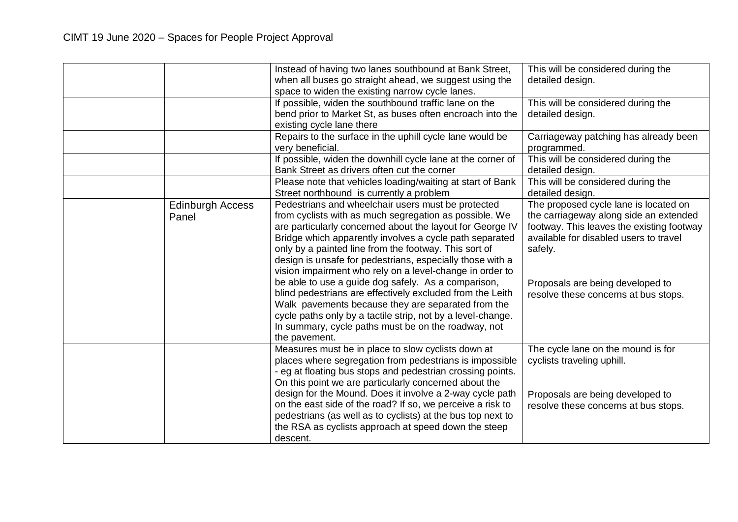|                                  | Instead of having two lanes southbound at Bank Street,<br>when all buses go straight ahead, we suggest using the<br>space to widen the existing narrow cycle lanes.<br>If possible, widen the southbound traffic lane on the<br>bend prior to Market St, as buses often encroach into the<br>existing cycle lane there                                                                                                                                                                                                                                                                                                                                                                                                                  | This will be considered during the<br>detailed design.<br>This will be considered during the<br>detailed design.                                                                                                                                              |
|----------------------------------|-----------------------------------------------------------------------------------------------------------------------------------------------------------------------------------------------------------------------------------------------------------------------------------------------------------------------------------------------------------------------------------------------------------------------------------------------------------------------------------------------------------------------------------------------------------------------------------------------------------------------------------------------------------------------------------------------------------------------------------------|---------------------------------------------------------------------------------------------------------------------------------------------------------------------------------------------------------------------------------------------------------------|
|                                  | Repairs to the surface in the uphill cycle lane would be<br>very beneficial.                                                                                                                                                                                                                                                                                                                                                                                                                                                                                                                                                                                                                                                            | Carriageway patching has already been<br>programmed.                                                                                                                                                                                                          |
|                                  | If possible, widen the downhill cycle lane at the corner of<br>Bank Street as drivers often cut the corner                                                                                                                                                                                                                                                                                                                                                                                                                                                                                                                                                                                                                              | This will be considered during the<br>detailed design.                                                                                                                                                                                                        |
|                                  | Please note that vehicles loading/waiting at start of Bank<br>Street northbound is currently a problem                                                                                                                                                                                                                                                                                                                                                                                                                                                                                                                                                                                                                                  | This will be considered during the<br>detailed design.                                                                                                                                                                                                        |
| <b>Edinburgh Access</b><br>Panel | Pedestrians and wheelchair users must be protected<br>from cyclists with as much segregation as possible. We<br>are particularly concerned about the layout for George IV<br>Bridge which apparently involves a cycle path separated<br>only by a painted line from the footway. This sort of<br>design is unsafe for pedestrians, especially those with a<br>vision impairment who rely on a level-change in order to<br>be able to use a guide dog safely. As a comparison,<br>blind pedestrians are effectively excluded from the Leith<br>Walk pavements because they are separated from the<br>cycle paths only by a tactile strip, not by a level-change.<br>In summary, cycle paths must be on the roadway, not<br>the pavement. | The proposed cycle lane is located on<br>the carriageway along side an extended<br>footway. This leaves the existing footway<br>available for disabled users to travel<br>safely.<br>Proposals are being developed to<br>resolve these concerns at bus stops. |
|                                  | Measures must be in place to slow cyclists down at<br>places where segregation from pedestrians is impossible<br>- eg at floating bus stops and pedestrian crossing points.<br>On this point we are particularly concerned about the<br>design for the Mound. Does it involve a 2-way cycle path                                                                                                                                                                                                                                                                                                                                                                                                                                        | The cycle lane on the mound is for<br>cyclists traveling uphill.<br>Proposals are being developed to                                                                                                                                                          |
|                                  | on the east side of the road? If so, we perceive a risk to<br>pedestrians (as well as to cyclists) at the bus top next to<br>the RSA as cyclists approach at speed down the steep<br>descent.                                                                                                                                                                                                                                                                                                                                                                                                                                                                                                                                           | resolve these concerns at bus stops.                                                                                                                                                                                                                          |